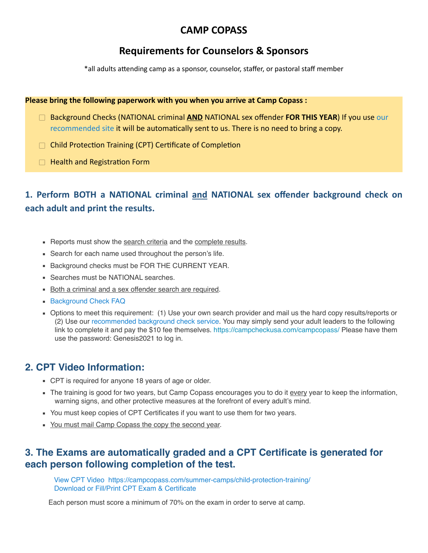## **CAMP COPASS**

# **Requirements for Counselors & Sponsors**

\*all adults attending camp as a sponsor, counselor, staffer, or pastoral staff member

#### **Please bring the following paperwork with you when you arrive at Camp Copass :**

- □ Background Checks (NATIONAL criminal **AND** NATIONAL sex offender **FOR THIS YEAR**) If you use our [recommended site](https://campcheckusa.com/campcopass/) it will be automatically sent to us. There is no need to bring a copy.
- $\Box$  Child Protection Training (CPT) Certificate of Completion
- $\Box$  Health and Registration Form

# **1. Perform BOTH a NATIONAL criminal and NATIONAL sex offender background check on each adult and print the results.**

- **EXECT:** Reports must show the search criteria and the complete results.
- Search for each name used throughout the person's life.
- **Background checks must be FOR THE CURRENT YEAR.**
- **Example 3 Searches must be NATIONAL searches.**
- **Both a criminal and a sex offender search are required.**
- **[Background Check FAQ](https://www.pineywoodscamp.com/background-check-faq/)**
- Options to meet this requirement: (1) Use your own search provider and mail us the hard copy results/reports or (2) Use our [recommended background check service](http://Options%20to%20meet%20this%20requirement:%20%20(1)%20Use%20your%20own%20search%20provider%20and%20mail%20us%20the%20hard%20copy%20results/reports%20or%20(2)%20Use%20our%20recommended%20background%20check%20service.%20Some%20groups%20may%20choose%20to%20collect%20authorization%20forms%20from%20adults%20in%20order%20to%20cover%20the%20cost%20of%20the%20$10%20per%20person%20fee%20or%20you%20may%20choose%20to%20send%20your%20adult%20leaders%20to%20the%20following%20link%20to%20complete%20it%20and%20pay%20the%20$10%20fee%20themselves.%20https://campcheckusa.com/campcopass/). You may simply send your adult leaders to the following link to complete it and pay the \$10 fee themselves. <https://campcheckusa.com/campcopass/>Please have them use the password: Genesis2021 to log in.

### **2. CPT Video Information:**

- CPT is required for anyone 18 years of age or older.
- The training is good for two years, but Camp Copass encourages you to do it every year to keep the information, warning signs, and other protective measures at the forefront of every adult's mind.
- You must keep copies of CPT Certificates if you want to use them for two years.
- You must mail Camp Copass the copy the second year.

### **3. The Exams are automatically graded and a CPT Certificate is generated for each person following completion of the test.**

[View CPT Video](https://vimeo.com/14461132) <https://campcopass.com/summer-camps/child-protection-training/> [Download or Fill/Print CPT Exam](https://pineywoodscamp.com/wp-content/uploads/CPT_Exam.pdf) & Certificate

Each person must score a minimum of 70% on the exam in order to serve at camp.